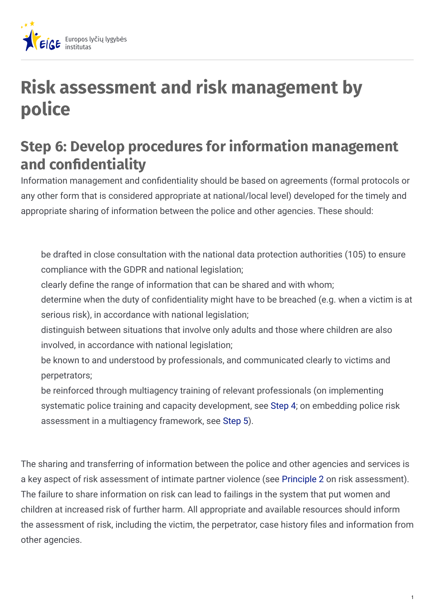

## **Risk assessment and risk management by police**

## **Step 6: Develop procedures for information management and condentiality**

Information management and confidentiality should be based on agreements (formal protocols or any other form that is considered appropriate at national/local level) developed for the timely and appropriate sharing of information between the police and other agencies. These should:

be drafted in close consultation with the national data protection authorities (105) to ensure compliance with the GDPR and national legislation;

clearly define the range of information that can be shared and with whom;

determine when the duty of confidentiality might have to be breached (e.g. when a victim is at serious risk), in accordance with national legislation;

distinguish between situations that involve only adults and those where children are also involved, in accordance with national legislation;

be known to and understood by professionals, and communicated clearly to victims and perpetrators;

be reinforced through multiagency training of relevant professionals (on implementing systematic police training and capacity development, see [Step](https://eige.europa.eu/lt/step-4-implement-systematic-police-training-and-capacity-development?lang=fi) 4; on embedding police risk assessment in a multiagency framework, see [Step](https://step-5-embed-police-risk-assessment-multiagency-framework) 5).

The sharing and transferring of information between the police and other agencies and services is a key aspect of risk assessment of intimate partner violence (see [Principle](https://eige.europa.eu/lt/principle-2-adopting-victim-centred-approach?lang=fi) 2 on risk assessment). The failure to share information on risk can lead to failings in the system that put women and children at increased risk of further harm. All appropriate and available resources should inform the assessment of risk, including the victim, the perpetrator, case history files and information from other agencies.